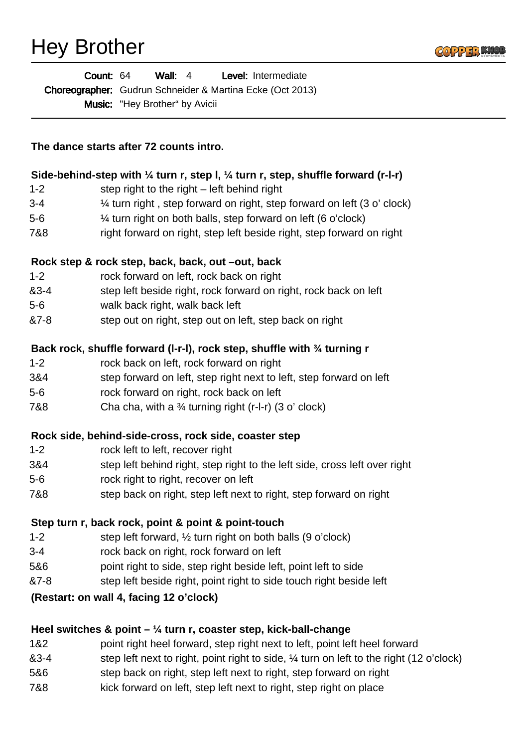## Hey Brother



|                                                                                                                                                    | <b>Wall:</b> 4<br>Level: Intermediate<br>Count: 64<br>Choreographer: Gudrun Schneider & Martina Ecke (Oct 2013)<br>Music: "Hey Brother" by Avicii |
|----------------------------------------------------------------------------------------------------------------------------------------------------|---------------------------------------------------------------------------------------------------------------------------------------------------|
| The dance starts after 72 counts intro.<br>Side-behind-step with $\frac{1}{4}$ turn r, step I, $\frac{1}{4}$ turn r, step, shuffle forward (r-I-r) |                                                                                                                                                   |
|                                                                                                                                                    |                                                                                                                                                   |
| $3 - 4$                                                                                                                                            | 1/4 turn right, step forward on right, step forward on left (3 o' clock)                                                                          |
| $5-6$                                                                                                                                              | 1/4 turn right on both balls, step forward on left (6 o'clock)                                                                                    |
| 7&8                                                                                                                                                | right forward on right, step left beside right, step forward on right                                                                             |
|                                                                                                                                                    | Rock step & rock step, back, back, out –out, back                                                                                                 |
| $1 - 2$                                                                                                                                            | rock forward on left, rock back on right                                                                                                          |
| $83 - 4$                                                                                                                                           | step left beside right, rock forward on right, rock back on left                                                                                  |
| $5-6$                                                                                                                                              | walk back right, walk back left                                                                                                                   |
| $87 - 8$                                                                                                                                           | step out on right, step out on left, step back on right                                                                                           |
|                                                                                                                                                    | Back rock, shuffle forward (I-r-I), rock step, shuffle with 3/4 turning r                                                                         |
| $1 - 2$                                                                                                                                            | rock back on left, rock forward on right                                                                                                          |
| 3&4                                                                                                                                                | step forward on left, step right next to left, step forward on left                                                                               |
| $5-6$                                                                                                                                              | rock forward on right, rock back on left                                                                                                          |
| 7&8                                                                                                                                                | Cha cha, with a $\frac{3}{4}$ turning right (r-I-r) (3 o' clock)                                                                                  |
|                                                                                                                                                    | Rock side, behind-side-cross, rock side, coaster step                                                                                             |
| $1 - 2$                                                                                                                                            | rock left to left, recover right                                                                                                                  |
| 3&4                                                                                                                                                | step left behind right, step right to the left side, cross left over right                                                                        |
| $5-6$                                                                                                                                              | rock right to right, recover on left                                                                                                              |
| 7&8                                                                                                                                                | step back on right, step left next to right, step forward on right                                                                                |
|                                                                                                                                                    | Step turn r, back rock, point & point & point-touch                                                                                               |
| $1 - 2$                                                                                                                                            | step left forward, $\frac{1}{2}$ turn right on both balls (9 o'clock)                                                                             |
| $3 - 4$                                                                                                                                            | rock back on right, rock forward on left                                                                                                          |
| 5&6                                                                                                                                                | point right to side, step right beside left, point left to side                                                                                   |
| $87 - 8$                                                                                                                                           | step left beside right, point right to side touch right beside left                                                                               |
|                                                                                                                                                    | (Restart: on wall 4, facing 12 o'clock)                                                                                                           |
|                                                                                                                                                    | Heel switches & point $-$ 1/4 turn r, coaster step, kick-ball-change                                                                              |
| 1&2                                                                                                                                                | point right heel forward, step right next to left, point left heel forward                                                                        |
| 83-4                                                                                                                                               | step left next to right, point right to side, 1/4 turn on left to the right (12 o'clock)                                                          |
| 5&6                                                                                                                                                | step back on right, step left next to right, step forward on right                                                                                |

7&8 kick forward on left, step left next to right, step right on place